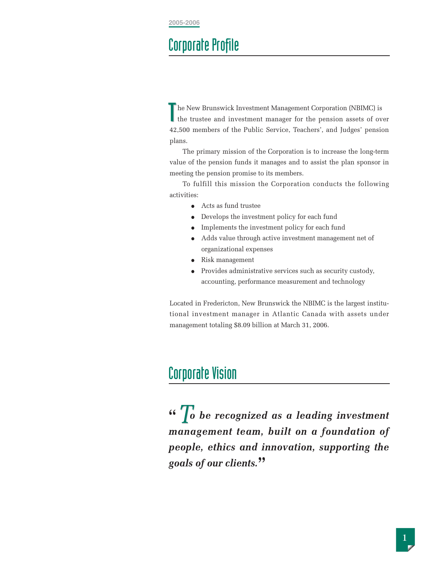## Corporate Profile

T he New Brunswick Investment Management Corporation (NBIMC) is the trustee and investment manager for the pension assets of over 42,500 members of the Public Service, Teachers', and Judges' pension plans. T

The primary mission of the Corporation is to increase the long-term value of the pension funds it manages and to assist the plan sponsor in meeting the pension promise to its members.

To fulfill this mission the Corporation conducts the following activities:

- Acts as fund trustee
- Develops the investment policy for each fund
- Implements the investment policy for each fund
- Adds value through active investment management net of organizational expenses
- Risk management
- Provides administrative services such as security custody, accounting, performance measurement and technology

Located in Fredericton, New Brunswick the NBIMC is the largest institutional investment manager in Atlantic Canada with assets under management totaling \$8.09 billion at March 31, 2006.

### Corporate Vision

**"** *o be recognized as a leading investment T management team, built on a foundation of people, ethics and innovation, supporting the goals of our clients.***"**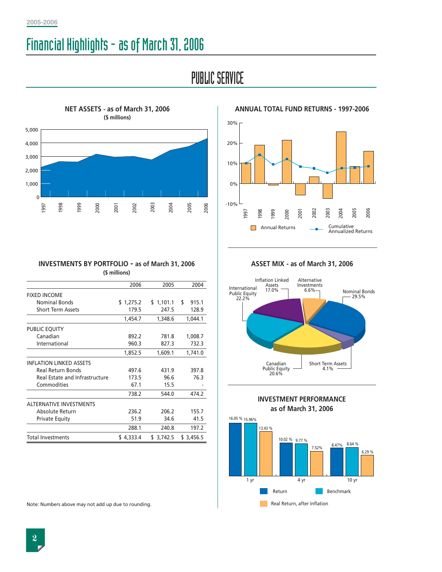# Financial Highlights - as of March 31, 2006

# PUBLIC SERVICE



30% 20% 10% 0% -10% 2002 2004 2005 2006 2003 1997 1998 1999 2000 2001 Annual Returns **Cumulative**  $\Box$ Annualized Returns

**ANNUAL TOTAL FUND RETURNS - 1997-2006**

| 998<br>1997                                                             | 999<br>2000 | 2001  | 2002      | 2003  | 2004      |       | 2006<br>2005 |  |  |
|-------------------------------------------------------------------------|-------------|-------|-----------|-------|-----------|-------|--------------|--|--|
|                                                                         |             |       |           |       |           |       |              |  |  |
| <b>INVESTMENTS BY PORTFOLIO - as of March 31, 2006</b><br>(\$ millions) |             |       |           |       |           |       |              |  |  |
|                                                                         |             |       | 2006      |       | 2005      |       | 2004         |  |  |
| <b>FIXED INCOME</b>                                                     |             |       |           |       |           |       |              |  |  |
| <b>Nominal Bonds</b>                                                    |             |       | \$1,275.2 |       | \$1,101.1 | \$    | 915.1        |  |  |
| <b>Short Term Assets</b>                                                |             |       | 179.5     |       | 247.5     |       | 128.9        |  |  |
|                                                                         |             |       | 1,454.7   |       | 1,348.6   |       | 1,044.1      |  |  |
| PUBLIC EQUITY                                                           |             |       |           |       |           |       |              |  |  |
| Canadian                                                                |             |       | 892.2     |       | 781.8     |       | 1,008.7      |  |  |
| International                                                           |             |       | 960.3     |       | 827.3     |       | 732.3        |  |  |
|                                                                         |             |       | 1,852.5   |       | 1,609.1   |       | 1,741.0      |  |  |
| <b>INFLATION LINKED ASSETS</b>                                          |             |       |           |       |           |       |              |  |  |
| <b>Real Return Bonds</b>                                                |             |       | 497.6     |       | 431.9     |       | 397.8        |  |  |
| Real Estate and Infrastructure                                          |             |       | 173.5     |       | 96.6      |       | 76.3         |  |  |
| Commodities                                                             |             |       | 67.1      |       | 15.5      |       |              |  |  |
|                                                                         |             |       | 738.2     |       | 544.0     |       | 474.2        |  |  |
| <b>ALTERNATIVE INVESTMENTS</b>                                          |             |       |           |       |           |       |              |  |  |
| Absolute Return                                                         |             | 236.2 |           | 206.2 |           | 155.7 |              |  |  |
| <b>Private Equity</b>                                                   |             |       | 51.9      |       | 34.6      |       | 41.5         |  |  |
|                                                                         |             |       | 288.1     |       | 240.8     |       | 197.2        |  |  |
| <b>Total Investments</b>                                                |             |       | \$4,333.4 |       | \$3,742.5 |       | \$3,456.5    |  |  |

Note: Numbers above may not add up due to rounding.

**ASSET MIX - as of March 31, 2006**



**INVESTMENT PERFORMANCE as of March 31, 2006**

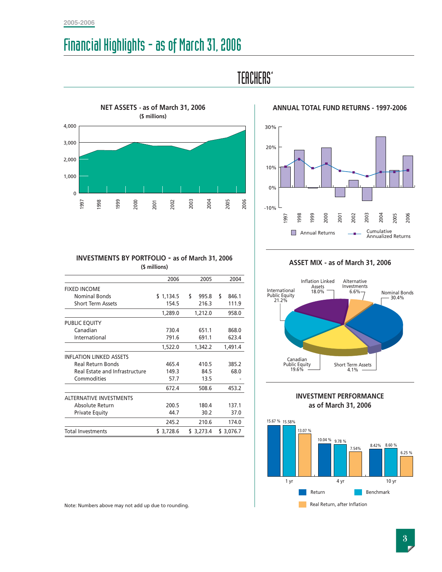#### **2005-2006**

# Financial Highlights - as of March 31, 2006



### TEACHERS'



**ANNUAL TOTAL FUND RETURNS - 1997-2006**

#### **INVESTMENTS BY PORTFOLIO - as of March 31, 2006 (\$ millions)**

|                                | 2006          | 2005        | 2004        |  |
|--------------------------------|---------------|-------------|-------------|--|
| <b>FIXED INCOME</b>            |               |             |             |  |
| Nominal Bonds                  | 1,134.5<br>\$ | \$<br>995.8 | \$<br>846.1 |  |
| <b>Short Term Assets</b>       | 154.5         | 216.3       | 111.9       |  |
|                                | 1,289.0       | 1,212.0     | 958.0       |  |
| PUBLIC EQUITY                  |               |             |             |  |
| Canadian                       | 730.4         | 651.1       | 868.0       |  |
| International                  | 791.6         | 691.1       | 623.4       |  |
|                                | 1,522.0       | 1,342.2     | 1,491.4     |  |
| <b>INFLATION LINKED ASSETS</b> |               |             |             |  |
| Real Return Bonds              | 465.4         | 410.5       | 385.2       |  |
| Real Estate and Infrastructure | 149.3         | 84.5        | 68.0        |  |
| Commodities                    | 57.7          | 13.5        |             |  |
|                                | 672.4         | 508.6       | 453.2       |  |
| <b>ALTERNATIVE INVESTMENTS</b> |               |             |             |  |
| Absolute Return                | 200.5         | 180.4       | 137.1       |  |
| <b>Private Equity</b>          | 44.7          | 30.2        | 37.0        |  |
|                                | 245.2         | 210.6       | 174.0       |  |
| <b>Total Investments</b>       | \$3,728.6     | \$3,273.4   | \$3,076.7   |  |

#### **ASSET MIX - as of March 31, 2006**







Note: Numbers above may not add up due to rounding.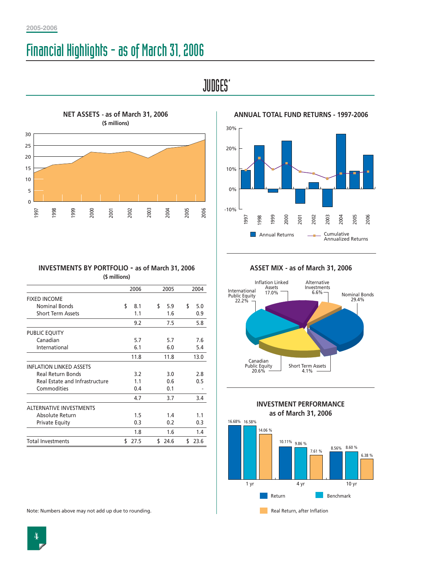# Financial Highlights - as of March 31, 2006

JUDGES'





**ANNUAL TOTAL FUND RETURNS - 1997-2006**

| \$<br>5.0<br>0.9<br>5.8 |
|-------------------------|
|                         |
|                         |
| 7.6<br>5.4<br>13.0      |
| 2.8<br>0.5              |
| 3.4                     |
| 1.1<br>0.3<br>1.4       |
| 23.6                    |
| \$                      |

**ASSET MIX - as of March 31, 2006**



**INVESTMENT PERFORMANCE as of March 31, 2006**



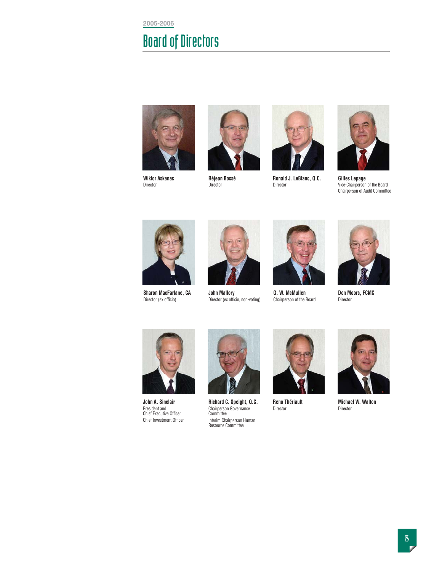**2005-2006**

# Board of Directors



**Wiktor Askanas** Director



**Réjean Bossé** Director



**Ronald J. LeBlanc, Q.C.** Director



**Gilles Lepage** Vice-Chairperson of the Board Chairperson of Audit Committee



**Sharon MacFarlane, CA** Director (ex officio)



**John Mallory** Director (ex officio, non-voting)



**G. W. McMullen** Chairperson of the Board



**Don Moors, FCMC** Director



**John A. Sinclair** President and Chief Executive Officer Chief Investment Officer



**Richard C. Speight, Q.C.** Chairperson Governance Committee Interim Chairperson Human Resource Committee



**Reno Thériault** Director



**Michael W. Walton** Director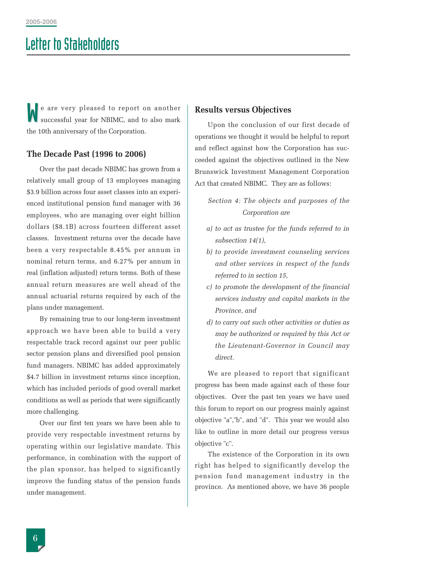# Letter to Stakeholders

e are very pleased to report on another successful year for NBIMC, and to also mark the 10th anniversary of the Corporation. **Results versus Objectives**<br>
successful year for NBIMC, and to also mark<br>
Upon the conclusion of a

#### **The Decade Past (1996 to 2006)**

Over the past decade NBIMC has grown from a relatively small group of 13 employees managing \$3.9 billion across four asset classes into an experienced institutional pension fund manager with 36 employees, who are managing over eight billion dollars (\$8.1B) across fourteen different asset classes. Investment returns over the decade have been a very respectable 8.45% per annum in nominal return terms, and 6.27% per annum in real (inflation adjusted) return terms. Both of these annual return measures are well ahead of the annual actuarial returns required by each of the plans under management.

By remaining true to our long-term investment approach we have been able to build a very respectable track record against our peer public sector pension plans and diversified pool pension fund managers. NBIMC has added approximately \$4.7 billion in investment returns since inception, which has included periods of good overall market conditions as well as periods that were significantly more challenging.

Over our first ten years we have been able to provide very respectable investment returns by operating within our legislative mandate. This performance, in combination with the support of the plan sponsor, has helped to significantly improve the funding status of the pension funds under management.

Upon the conclusion of our first decade of operations we thought it would be helpful to report and reflect against how the Corporation has succeeded against the objectives outlined in the New Brunswick Investment Management Corporation Act that created NBIMC. They are as follows:

*Section 4: The objects and purposes of the Corporation are* 

- *a) to act as trustee for the funds referred to in subsection 14(1),*
- *b) to provide investment counseling services and other services in respect of the funds referred to in section 15,*
- *c) to promote the development of the financial services industry and capital markets in the Province, and*
- *d) to carry out such other activities or duties as may be authorized or required by this Act or the Lieutenant-Governor in Council may direct.*

We are pleased to report that significant progress has been made against each of these four objectives. Over the past ten years we have used this forum to report on our progress mainly against objective "a","b", and "d". This year we would also like to outline in more detail our progress versus objective "c".

The existence of the Corporation in its own right has helped to significantly develop the pension fund management industry in the province. As mentioned above, we have 36 people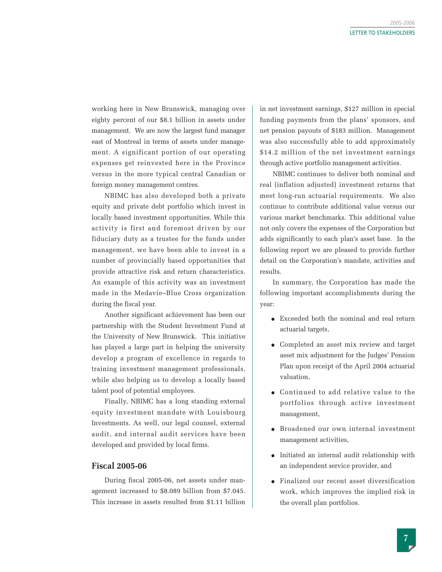working here in New Brunswick, managing over eighty percent of our \$8.1 billion in assets under management. We are now the largest fund manager east of Montreal in terms of assets under management. A significant portion of our operating expenses get reinvested here in the Province versus in the more typical central Canadian or foreign money management centres.

NBIMC has also developed both a private equity and private debt portfolio which invest in locally based investment opportunities. While this activity is first and foremost driven by our fiduciary duty as a trustee for the funds under management, we have been able to invest in a number of provincially based opportunities that provide attractive risk and return characteristics. An example of this activity was an investment made in the Medavie–Blue Cross organization during the fiscal year.

Another significant achievement has been our partnership with the Student Investment Fund at the University of New Brunswick. This initiative has played a large part in helping the university develop a program of excellence in regards to training investment management professionals, while also helping us to develop a locally based talent pool of potential employees.

Finally, NBIMC has a long standing external equity investment mandate with Louisbourg Investments. As well, our legal counsel, external audit, and internal audit services have been developed and provided by local firms.

#### **Fiscal 2005-06**

During fiscal 2005-06, net assets under management increased to \$8.089 billion from \$7.045. This increase in assets resulted from \$1.11 billion

in net investment earnings, \$127 million in special funding payments from the plans' sponsors, and net pension payouts of \$183 million. Management was also successfully able to add approximately \$14.2 million of the net investment earnings through active portfolio management activities.

NBIMC continues to deliver both nominal and real (inflation adjusted) investment returns that meet long-run actuarial requirements. We also continue to contribute additional value versus our various market benchmarks. This additional value not only covers the expenses of the Corporation but adds significantly to each plan's asset base. In the following report we are pleased to provide further detail on the Corporation's mandate, activities and results.

In summary, the Corporation has made the following important accomplishments during the year:

- Exceeded both the nominal and real return actuarial targets,
- Completed an asset mix review and target asset mix adjustment for the Judges' Pension Plan upon receipt of the April 2004 actuarial valuation,
- Continued to add relative value to the portfolios through active investment management,
- Broadened our own internal investment management activities,
- Initiated an internal audit relationship with an independent service provider, and
- Finalized our recent asset diversification work, which improves the implied risk in the overall plan portfolios.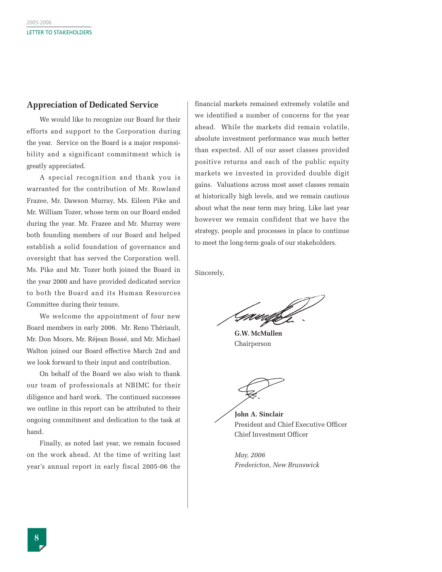#### **Appreciation of Dedicated Service**

We would like to recognize our Board for their efforts and support to the Corporation during the year. Service on the Board is a major responsibility and a significant commitment which is greatly appreciated.

A special recognition and thank you is warranted for the contribution of Mr. Rowland Frazee, Mr. Dawson Murray, Ms. Eileen Pike and Mr. William Tozer, whose term on our Board ended during the year. Mr. Frazee and Mr. Murray were both founding members of our Board and helped establish a solid foundation of governance and oversight that has served the Corporation well. Ms. Pike and Mr. Tozer both joined the Board in the year 2000 and have provided dedicated service to both the Board and its Human Resources Committee during their tenure.

We welcome the appointment of four new Board members in early 2006. Mr. Reno Thériault, Mr. Don Moors, Mr. Réjean Bossé, and Mr. Michael Walton joined our Board effective March 2nd and we look forward to their input and contribution.

On behalf of the Board we also wish to thank our team of professionals at NBIMC for their diligence and hard work. The continued successes we outline in this report can be attributed to their ongoing commitment and dedication to the task at hand.

Finally, as noted last year, we remain focused on the work ahead. At the time of writing last year's annual report in early fiscal 2005-06 the financial markets remained extremely volatile and we identified a number of concerns for the year ahead. While the markets did remain volatile, absolute investment performance was much better than expected. All of our asset classes provided positive returns and each of the public equity markets we invested in provided double digit gains. Valuations across most asset classes remain at historically high levels, and we remain cautious about what the near term may bring. Like last year however we remain confident that we have the strategy, people and processes in place to continue to meet the long-term goals of our stakeholders.

Sincerely,

<u>I</u>num

**G.W. McMullen** Chairperson

**John A. Sinclair** President and Chief Executive Officer Chief Investment Officer

*May, 2006 Fredericton, New Brunswick*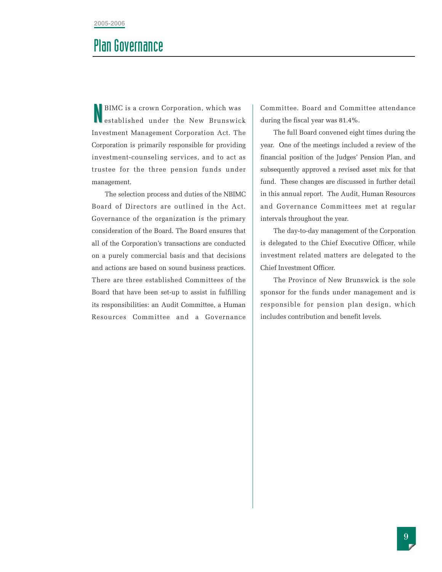### Plan Governance

BIMC is a crown Corporation, which was established under the New Brunswick Investment Management Corporation Act. The Corporation is primarily responsible for providing investment-counseling services, and to act as trustee for the three pension funds under management.

The selection process and duties of the NBIMC Board of Directors are outlined in the Act. Governance of the organization is the primary consideration of the Board. The Board ensures that all of the Corporation's transactions are conducted on a purely commercial basis and that decisions and actions are based on sound business practices. There are three established Committees of the Board that have been set-up to assist in fulfilling its responsibilities: an Audit Committee, a Human Resources Committee and a Governance

Committee. Board and Committee attendance during the fiscal year was 81.4%.

The full Board convened eight times during the year. One of the meetings included a review of the financial position of the Judges' Pension Plan, and subsequently approved a revised asset mix for that fund. These changes are discussed in further detail in this annual report. The Audit, Human Resources and Governance Committees met at regular intervals throughout the year.

The day-to-day management of the Corporation is delegated to the Chief Executive Officer, while investment related matters are delegated to the Chief Investment Officer.

The Province of New Brunswick is the sole sponsor for the funds under management and is responsible for pension plan design, which includes contribution and benefit levels.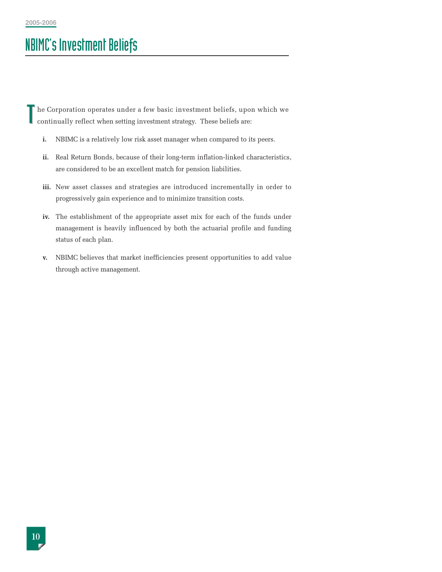# NBIMC's Investment Beliefs

he Corporation operates under a few basic investment beliefs, upon which we continually reflect when setting investment strategy. These beliefs are: T

- **i.** NBIMC is a relatively low risk asset manager when compared to its peers.
- **ii.** Real Return Bonds, because of their long-term inflation-linked characteristics, are considered to be an excellent match for pension liabilities.
- **iii.** New asset classes and strategies are introduced incrementally in order to progressively gain experience and to minimize transition costs.
- **iv.** The establishment of the appropriate asset mix for each of the funds under management is heavily influenced by both the actuarial profile and funding status of each plan.
- **v.** NBIMC believes that market inefficiencies present opportunities to add value through active management.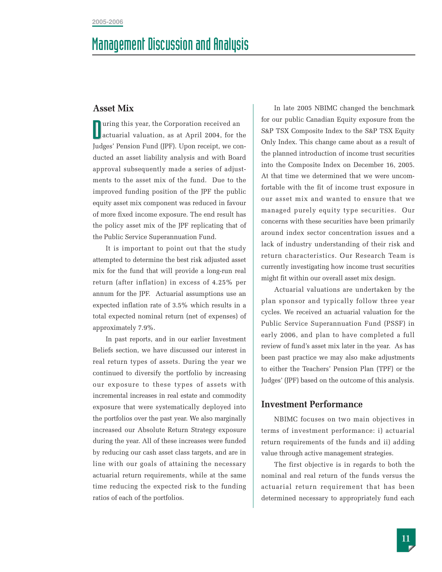### Management Discussion and Analysis

#### **Asset Mix**

**uring this year, the Corporation received an** actuarial valuation, as at April 2004, for the Judges' Pension Fund (JPF). Upon receipt, we conducted an asset liability analysis and with Board approval subsequently made a series of adjustments to the asset mix of the fund. Due to the improved funding position of the JPF the public equity asset mix component was reduced in favour of more fixed income exposure. The end result has the policy asset mix of the JPF replicating that of the Public Service Superannuation Fund.

It is important to point out that the study attempted to determine the best risk adjusted asset mix for the fund that will provide a long-run real return (after inflation) in excess of 4.25% per annum for the JPF. Actuarial assumptions use an expected inflation rate of 3.5% which results in a total expected nominal return (net of expenses) of approximately 7.9%.

In past reports, and in our earlier Investment Beliefs section, we have discussed our interest in real return types of assets. During the year we continued to diversify the portfolio by increasing our exposure to these types of assets with incremental increases in real estate and commodity exposure that were systematically deployed into the portfolios over the past year. We also marginally increased our Absolute Return Strategy exposure during the year. All of these increases were funded by reducing our cash asset class targets, and are in line with our goals of attaining the necessary actuarial return requirements, while at the same time reducing the expected risk to the funding ratios of each of the portfolios.

In late 2005 NBIMC changed the benchmark for our public Canadian Equity exposure from the S&P TSX Composite Index to the S&P TSX Equity Only Index. This change came about as a result of the planned introduction of income trust securities into the Composite Index on December 16, 2005. At that time we determined that we were uncomfortable with the fit of income trust exposure in our asset mix and wanted to ensure that we managed purely equity type securities. Our concerns with these securities have been primarily around index sector concentration issues and a lack of industry understanding of their risk and return characteristics. Our Research Team is currently investigating how income trust securities might fit within our overall asset mix design.

Actuarial valuations are undertaken by the plan sponsor and typically follow three year cycles. We received an actuarial valuation for the Public Service Superannuation Fund (PSSF) in early 2006, and plan to have completed a full review of fund's asset mix later in the year. As has been past practice we may also make adjustments to either the Teachers' Pension Plan (TPF) or the Judges' (JPF) based on the outcome of this analysis.

#### **Investment Performance**

NBIMC focuses on two main objectives in terms of investment performance: i) actuarial return requirements of the funds and ii) adding value through active management strategies.

The first objective is in regards to both the nominal and real return of the funds versus the actuarial return requirement that has been determined necessary to appropriately fund each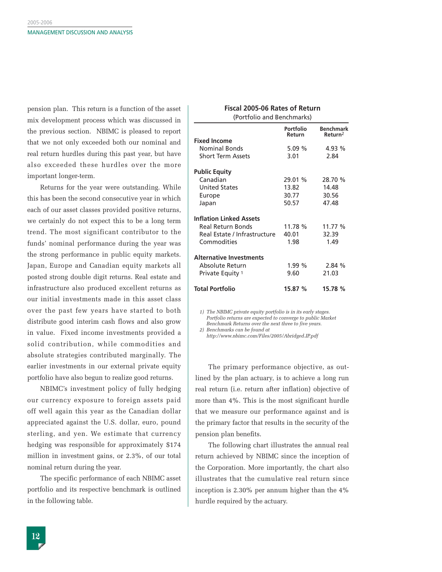pension plan. This return is a function of the asset mix development process which was discussed in the previous section. NBIMC is pleased to report that we not only exceeded both our nominal and real return hurdles during this past year, but have also exceeded these hurdles over the more important longer-term.

Returns for the year were outstanding. While this has been the second consecutive year in which each of our asset classes provided positive returns, we certainly do not expect this to be a long term trend. The most significant contributor to the funds' nominal performance during the year was the strong performance in public equity markets. Japan, Europe and Canadian equity markets all posted strong double digit returns. Real estate and infrastructure also produced excellent returns as our initial investments made in this asset class over the past few years have started to both distribute good interim cash flows and also grow in value. Fixed income investments provided a solid contribution, while commodities and absolute strategies contributed marginally. The earlier investments in our external private equity portfolio have also begun to realize good returns.

NBIMC's investment policy of fully hedging our currency exposure to foreign assets paid off well again this year as the Canadian dollar appreciated against the U.S. dollar, euro, pound sterling, and yen. We estimate that currency hedging was responsible for approximately \$174 million in investment gains, or 2.3%, of our total nominal return during the year.

The specific performance of each NBIMC asset portfolio and its respective benchmark is outlined in the following table.

#### **Fiscal 2005-06 Rates of Return** (Portfolio and Benchmarks) **Portfolio Benchmark**

|                                | Return  | Return <sup>2</sup> |
|--------------------------------|---------|---------------------|
| <b>Fixed Income</b>            |         |                     |
| <b>Nominal Bonds</b>           | 5.09%   | 4.93%               |
| <b>Short Term Assets</b>       | 3.01    | 2.84                |
| <b>Public Equity</b>           |         |                     |
| Canadian                       | 29.01 % | 28.70 %             |
| <b>United States</b>           | 13.82   | 14.48               |
| Europe                         | 30.77   | 30.56               |
| Japan                          | 50.57   | 47.48               |
| <b>Inflation Linked Assets</b> |         |                     |
| Real Return Bonds              | 11.78 % | 11.77 %             |
| Real Estate / Infrastructure   | 40.01   | 32.39               |
| Commodities                    | 1.98    | 1.49                |
| <b>Alternative Investments</b> |         |                     |
| Absolute Return                | 1.99%   | 2.84%               |
| Private Equity 1               | 9.60    | 21.03               |
| <b>Total Portfolio</b>         | 15.87 % | 15.78 %             |

*1) The NBIMC private equity portfolio is in its early stages. Portfolio returns are expected to converge to public Market Benchmark Returns over the next three to five years.*

*2) Benchmarks can be found at* 

*http://www.nbimc.com/Files/2005/Abridged-IP.pdf*

The primary performance objective, as outlined by the plan actuary, is to achieve a long run real return (i.e. return after inflation) objective of more than 4%. This is the most significant hurdle that we measure our performance against and is the primary factor that results in the security of the pension plan benefits.

The following chart illustrates the annual real return achieved by NBIMC since the inception of the Corporation. More importantly, the chart also illustrates that the cumulative real return since inception is 2.30% per annum higher than the 4% hurdle required by the actuary.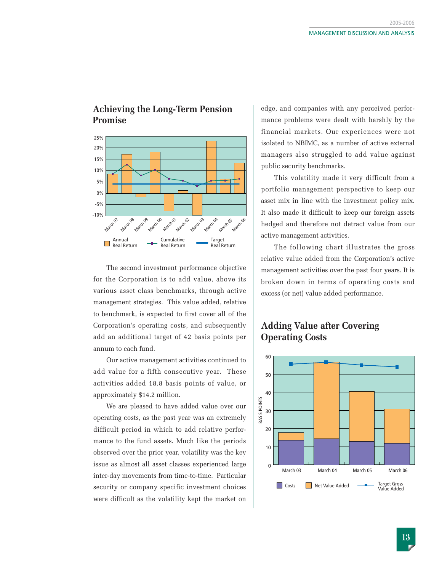### **Achieving the Long-Term Pension Promise**



The second investment performance objective for the Corporation is to add value, above its various asset class benchmarks, through active management strategies. This value added, relative to benchmark, is expected to first cover all of the Corporation's operating costs, and subsequently add an additional target of 42 basis points per annum to each fund.

Our active management activities continued to add value for a fifth consecutive year. These activities added 18.8 basis points of value, or approximately \$14.2 million.

We are pleased to have added value over our operating costs, as the past year was an extremely difficult period in which to add relative performance to the fund assets. Much like the periods observed over the prior year, volatility was the key issue as almost all asset classes experienced large inter-day movements from time-to-time. Particular security or company specific investment choices were difficult as the volatility kept the market on

edge, and companies with any perceived performance problems were dealt with harshly by the financial markets. Our experiences were not isolated to NBIMC, as a number of active external managers also struggled to add value against public security benchmarks.

This volatility made it very difficult from a portfolio management perspective to keep our asset mix in line with the investment policy mix. It also made it difficult to keep our foreign assets hedged and therefore not detract value from our active management activities.

The following chart illustrates the gross relative value added from the Corporation's active management activities over the past four years. It is broken down in terms of operating costs and excess (or net) value added performance.

#### **Adding Value after Covering Operating Costs**

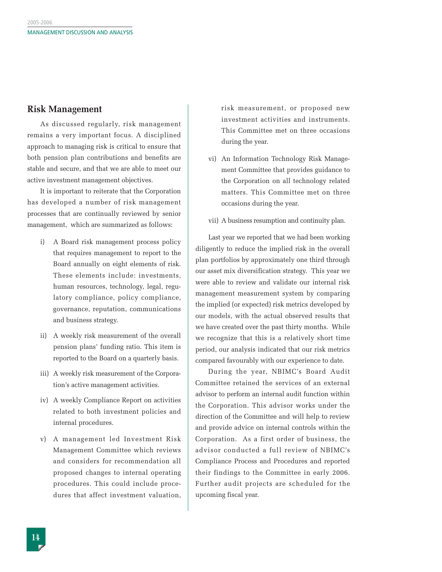#### **Risk Management**

As discussed regularly, risk management remains a very important focus. A disciplined approach to managing risk is critical to ensure that both pension plan contributions and benefits are stable and secure, and that we are able to meet our active investment management objectives.

It is important to reiterate that the Corporation has developed a number of risk management processes that are continually reviewed by senior management, which are summarized as follows:

- i) A Board risk management process policy that requires management to report to the Board annually on eight elements of risk. These elements include: investments, human resources, technology, legal, regulatory compliance, policy compliance, governance, reputation, communications and business strategy.
- ii) A weekly risk measurement of the overall pension plans' funding ratio. This item is reported to the Board on a quarterly basis.
- iii) A weekly risk measurement of the Corporation's active management activities.
- iv) A weekly Compliance Report on activities related to both investment policies and internal procedures.
- v) A management led Investment Risk Management Committee which reviews and considers for recommendation all proposed changes to internal operating procedures. This could include procedures that affect investment valuation,

risk measurement, or proposed new investment activities and instruments. This Committee met on three occasions during the year.

- vi) An Information Technology Risk Management Committee that provides guidance to the Corporation on all technology related matters. This Committee met on three occasions during the year.
- vii) A business resumption and continuity plan.

Last year we reported that we had been working diligently to reduce the implied risk in the overall plan portfolios by approximately one third through our asset mix diversification strategy. This year we were able to review and validate our internal risk management measurement system by comparing the implied (or expected) risk metrics developed by our models, with the actual observed results that we have created over the past thirty months. While we recognize that this is a relatively short time period, our analysis indicated that our risk metrics compared favourably with our experience to date.

During the year, NBIMC's Board Audit Committee retained the services of an external advisor to perform an internal audit function within the Corporation. This advisor works under the direction of the Committee and will help to review and provide advice on internal controls within the Corporation. As a first order of business, the advisor conducted a full review of NBIMC's Compliance Process and Procedures and reported their findings to the Committee in early 2006. Further audit projects are scheduled for the upcoming fiscal year.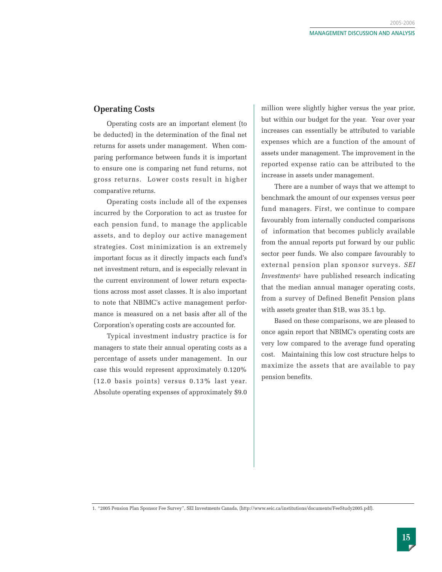#### **Operating Costs**

Operating costs are an important element (to be deducted) in the determination of the final net returns for assets under management. When comparing performance between funds it is important to ensure one is comparing net fund returns, not gross returns. Lower costs result in higher comparative returns.

Operating costs include all of the expenses incurred by the Corporation to act as trustee for each pension fund, to manage the applicable assets, and to deploy our active management strategies. Cost minimization is an extremely important focus as it directly impacts each fund's net investment return, and is especially relevant in the current environment of lower return expectations across most asset classes. It is also important to note that NBIMC's active management performance is measured on a net basis after all of the Corporation's operating costs are accounted for.

Typical investment industry practice is for managers to state their annual operating costs as a percentage of assets under management. In our case this would represent approximately 0.120% (12.0 basis points) versus 0.13% last year. Absolute operating expenses of approximately \$9.0

million were slightly higher versus the year prior, but within our budget for the year. Year over year increases can essentially be attributed to variable expenses which are a function of the amount of assets under management. The improvement in the reported expense ratio can be attributed to the increase in assets under management.

There are a number of ways that we attempt to benchmark the amount of our expenses versus peer fund managers. First, we continue to compare favourably from internally conducted comparisons of information that becomes publicly available from the annual reports put forward by our public sector peer funds. We also compare favourably to external pension plan sponsor surveys. *SEI Investments*<sup>1</sup> have published research indicating that the median annual manager operating costs, from a survey of Defined Benefit Pension plans with assets greater than \$1B, was 35.1 bp.

Based on these comparisons, we are pleased to once again report that NBIMC's operating costs are very low compared to the average fund operating cost. Maintaining this low cost structure helps to maximize the assets that are available to pay pension benefits.

<sup>1. &</sup>quot;2005 Pension Plan Sponsor Fee Survey", SEI Investments Canada, (http://www.seic.ca/institutions/documents/FeeStudy2005.pdf).